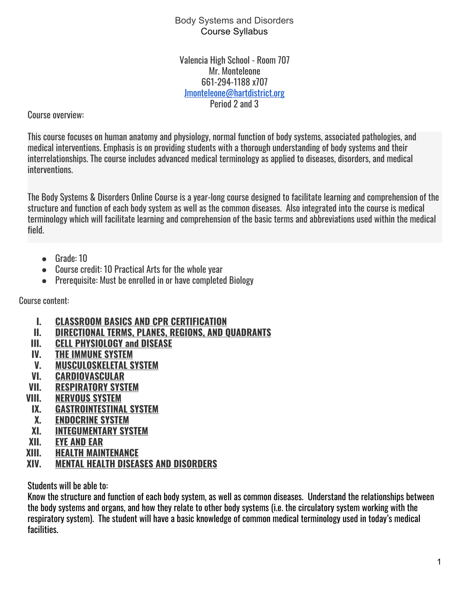Valencia High School - Room 707 Mr. Monteleone 661-294-1188 x707 [Jmonteleone@hartdistrict.org](mailto:Jmonteleone@hartdistrict.org) Period 2 and 3

Course overview:

This course focuses on human anatomy and physiology, normal function of body systems, associated pathologies, and medical interventions. Emphasis is on providing students with a thorough understanding of body systems and their interrelationships. The course includes advanced medical terminology as applied to diseases, disorders, and medical interventions.

The Body Systems & Disorders Online Course is a year-long course designed to facilitate learning and comprehension of the structure and function of each body system as well as the common diseases. Also integrated into the course is medical terminology which will facilitate learning and comprehension of the basic terms and abbreviations used within the medical field.

- Grade: 10
- Course credit: 10 Practical Arts for the whole year
- Prerequisite: Must be enrolled in or have completed Biology

Course content:

- **I. CLASSROOM BASICS AND CPR CERTIFICATION**
- **II. DIRECTIONAL TERMS, PLANES, REGIONS, AND QUADRANTS**
- **III. CELL PHYSIOLOGY and DISEASE**
- **IV. THE IMMUNE SYSTEM**
- **V. MUSCULOSKELETAL SYSTEM**
- **VI. CARDIOVASCULAR**
- **VII. RESPIRATORY SYSTEM**
- **VIII. NERVOUS SYSTEM**
- **IX. GASTROINTESTINAL SYSTEM**
- **X. ENDOCRINE SYSTEM**
- **XI. INTEGUMENTARY SYSTEM**
- **XII. EYE AND EAR**
- **XIII. HEALTH MAINTENANCE**
- **XIV. MENTAL HEALTH DISEASES AND DISORDERS**

Students will be able to:

Know the structure and function of each body system, as well as common diseases. Understand the relationships between the body systems and organs, and how they relate to other body systems (i.e. the circulatory system working with the respiratory system). The student will have a basic knowledge of common medical terminology used in today's medical facilities.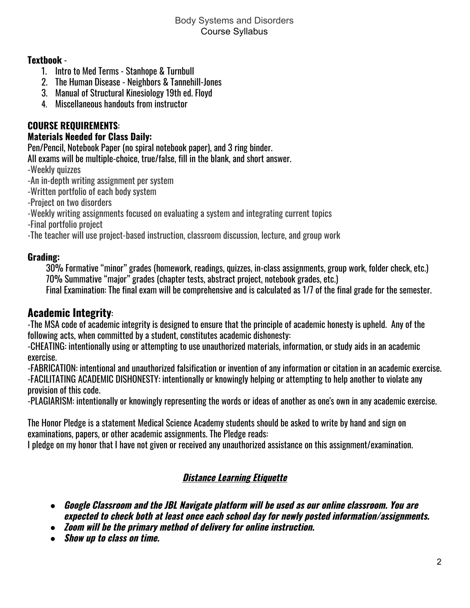## **Textbook** -

- 1. Intro to Med Terms Stanhope & Turnbull
- 2. The Human Disease Neighbors & Tannehill-Jones
- 3. Manual of Structural Kinesiology 19th ed. Floyd
- 4. Miscellaneous handouts from instructor

# **COURSE REQUIREMENTS**:

## **Materials Needed for Class Daily:**

Pen/Pencil, Notebook Paper (no spiral notebook paper), and 3 ring binder.

All exams will be multiple-choice, true/false, fill in the blank, and short answer.

-Weekly quizzes

-An in-depth writing assignment per system

-Written portfolio of each body system

-Project on two disorders

-Weekly writing assignments focused on evaluating a system and integrating current topics

-Final portfolio project

-The teacher will use project-based instruction, classroom discussion, lecture, and group work

## **Grading:**

30% Formative "minor" grades (homework, readings, quizzes, in-class assignments, group work, folder check, etc.) 70% Summative "major" grades (chapter tests, abstract project, notebook grades, etc.)

Final Examination: The final exam will be comprehensive and is calculated as 1/7 of the final grade for the semester.

# **Academic Integrity**:

-The MSA code of academic integrity is designed to ensure that the principle of academic honesty is upheld. Any of the following acts, when committed by a student, constitutes academic dishonesty:

-CHEATING: intentionally using or attempting to use unauthorized materials, information, or study aids in an academic exercise.

-FABRICATION: intentional and unauthorized falsification or invention of any information or citation in an academic exercise. -FACILITATING ACADEMIC DISHONESTY: intentionally or knowingly helping or attempting to help another to violate any provision of this code.

-PLAGIARISM: intentionally or knowingly representing the words or ideas of another as one's own in any academic exercise.

The Honor Pledge is a statement Medical Science Academy students should be asked to write by hand and sign on examinations, papers, or other academic assignments. The Pledge reads:

I pledge on my honor that I have not given or received any unauthorized assistance on this assignment/examination.

# **Distance Learning Etiquette**

- *●* **Google Classroom and the JBL Navigate platform will be used as our online classroom. You are expected to check both at least once each school day for newly posted information/assignments.**
- *●* **Zoom will be the primary method of delivery for online instruction.**
- *●* **Show up to class on time.**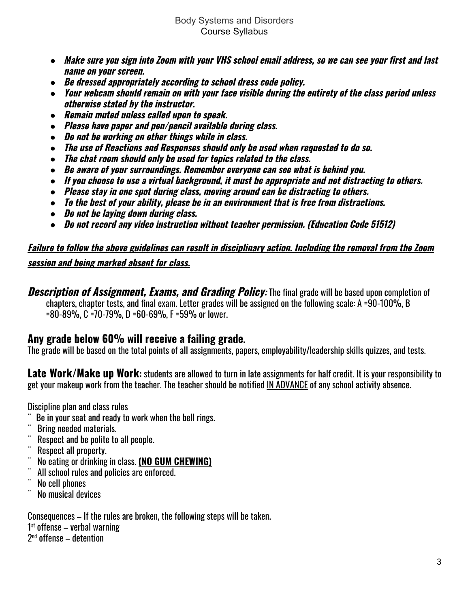- Make sure you sign into Zoom with your VHS school email address, so we can see your first and last **name on your screen.**
- *●* **Be dressed appropriately according to school dress code policy.**
- Your webcam should remain on with your face visible during the entirety of the class period unless **otherwise stated by the instructor.**
- *●* **Remain muted unless called upon to speak.**
- *●* **Please have paper and pen/pencil available during class.**
- *●* **Do not be working on other things while in class.**
- *●* **The use of Reactions and Responses should only be used when requested to do so.**
- *●* **The chat room should only be used for topics related to the class.**
- *●* **Be aware of your surroundings. Remember everyone can see what is behind you.**
- *●* **If you choose to use <sup>a</sup> virtual background, it must be appropriate and not distracting to others.**
- *●* **Please stay in one spot during class, moving around can be distracting to others.**
- *●* **To the best of your ability, please be in an environment that is free from distractions.**
- *●* **Do not be laying down during class.**
- *●* **Do not record any video instruction without teacher permission. (Education Code 51512)**

# Failure to follow the above guidelines can result in disciplinary action. Including the removal from the Zoom **session and being marked absent for class.**

**Description of Assignment, Exams, and Grading Policy:** The final grade will be based upon completion of chapters, chapter tests, and final exam. Letter grades will be assigned on the following scale: A =90-100%, B =80-89%, C =70-79%, D =60-69%, F =59% or lower.

# **Any grade below 60% will receive a failing grade.**

The grade will be based on the total points of all assignments, papers, employability/leadership skills quizzes, and tests.

**Late Work/Make up Work:** students are allowed to turn in late assignments for half credit. It is your responsibility to get your makeup work from the teacher. The teacher should be notified IN ADVANCE of any school activity absence.

Discipline plan and class rules

- ¨ Be in your seat and ready to work when the bell rings.
- Bring needed materials.
- Respect and be polite to all people.
- Respect all property.
- ¨ No eating or drinking in class. **(NO GUM CHEWING)**
- All school rules and policies are enforced.
- No cell phones
- No musical devices

Consequences – If the rules are broken, the following steps will be taken.

1 st offense – verbal warning

2 nd offense – detention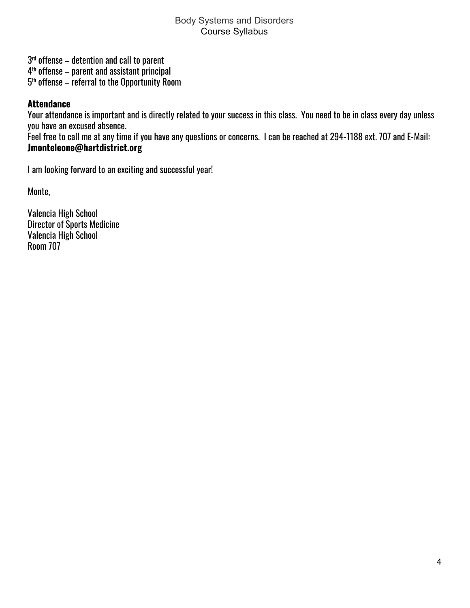3 rd offense – detention and call to parent

4 th offense – parent and assistant principal

 $5^{\rm th}$  offense – referral to the Opportunity Room

## **Attendance**

Your attendance is important and is directly related to your success in this class. You need to be in class every day unless you have an excused absence.

Feel free to call me at any time if you have any questions or concerns. I can be reached at 294-1188 ext. 707 and E-Mail: **Jmonteleone@hartdistrict.org**

I am looking forward to an exciting and successful year!

Monte,

Valencia High School Director of Sports Medicine Valencia High School Room 707